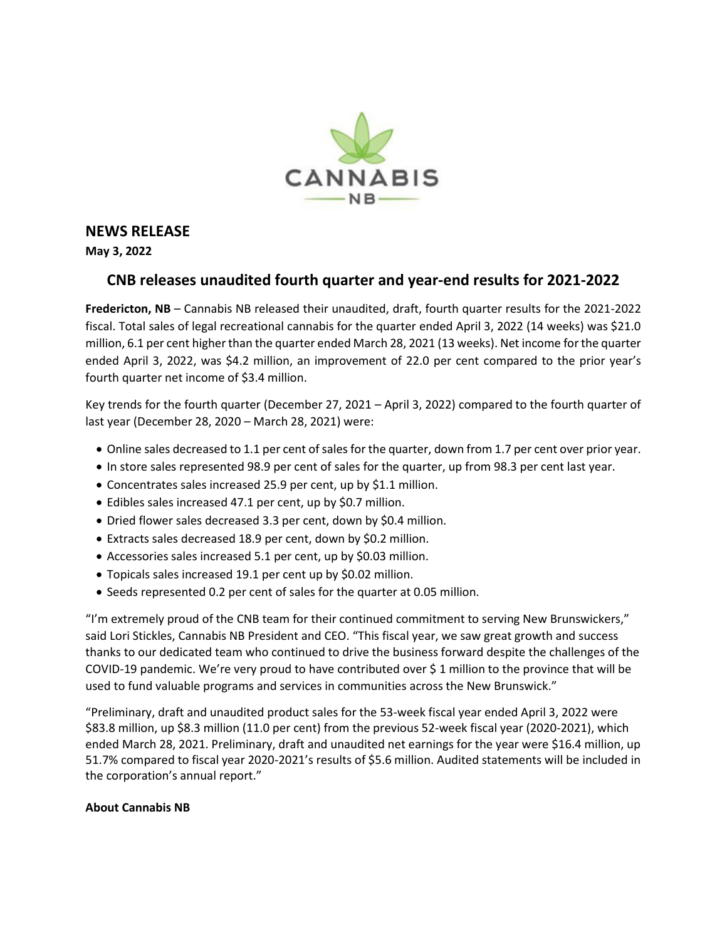

## **NEWS RELEASE**

**May 3, 2022**

## **CNB releases unaudited fourth quarter and year-end results for 2021-2022**

**Fredericton, NB** – Cannabis NB released their unaudited, draft, fourth quarter results for the 2021-2022 fiscal. Total sales of legal recreational cannabis for the quarter ended April 3, 2022 (14 weeks) was \$21.0 million, 6.1 per cent higher than the quarter ended March 28, 2021 (13 weeks). Net income for the quarter ended April 3, 2022, was \$4.2 million, an improvement of 22.0 per cent compared to the prior year's fourth quarter net income of \$3.4 million.

Key trends for the fourth quarter (December 27, 2021 – April 3, 2022) compared to the fourth quarter of last year (December 28, 2020 – March 28, 2021) were:

- Online sales decreased to 1.1 per cent of sales for the quarter, down from 1.7 per cent over prior year.
- In store sales represented 98.9 per cent of sales for the quarter, up from 98.3 per cent last year.
- Concentrates sales increased 25.9 per cent, up by \$1.1 million.
- Edibles sales increased 47.1 per cent, up by \$0.7 million.
- Dried flower sales decreased 3.3 per cent, down by \$0.4 million.
- Extracts sales decreased 18.9 per cent, down by \$0.2 million.
- Accessories sales increased 5.1 per cent, up by \$0.03 million.
- Topicals sales increased 19.1 per cent up by \$0.02 million.
- Seeds represented 0.2 per cent of sales for the quarter at 0.05 million.

"I'm extremely proud of the CNB team for their continued commitment to serving New Brunswickers," said Lori Stickles, Cannabis NB President and CEO. "This fiscal year, we saw great growth and success thanks to our dedicated team who continued to drive the business forward despite the challenges of the COVID-19 pandemic. We're very proud to have contributed over \$ 1 million to the province that will be used to fund valuable programs and services in communities across the New Brunswick."

"Preliminary, draft and unaudited product sales for the 53-week fiscal year ended April 3, 2022 were \$83.8 million, up \$8.3 million (11.0 per cent) from the previous 52-week fiscal year (2020-2021), which ended March 28, 2021. Preliminary, draft and unaudited net earnings for the year were \$16.4 million, up 51.7% compared to fiscal year 2020-2021's results of \$5.6 million. Audited statements will be included in the corporation's annual report."

## **About Cannabis NB**